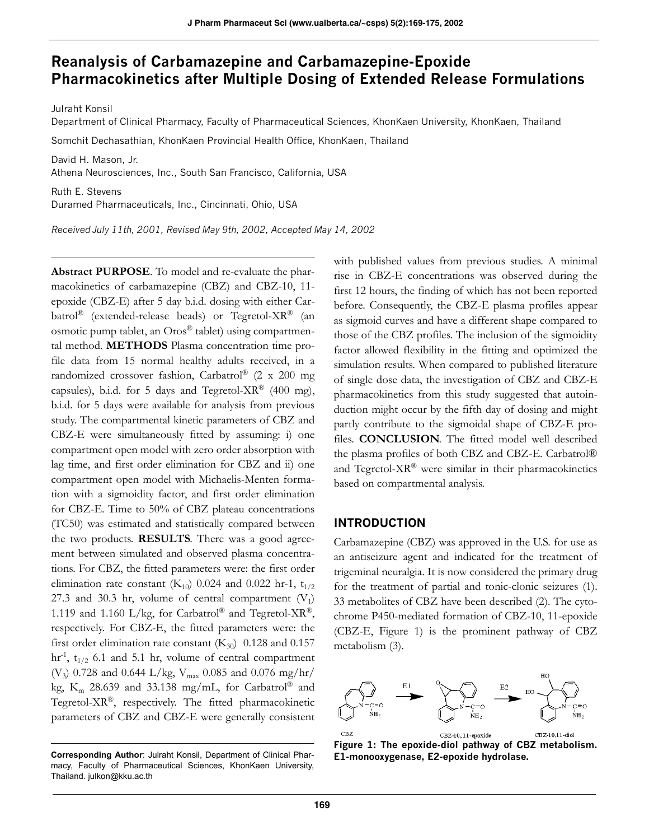# **Reanalysis of Carbamazepine and Carbamazepine-Epoxide Pharmacokinetics after Multiple Dosing of Extended Release Formulations**

Julraht Konsil

Department of Clinical Pharmacy, Faculty of Pharmaceutical Sciences, KhonKaen University, KhonKaen, Thailand

Somchit Dechasathian, KhonKaen Provincial Health Office, KhonKaen, Thailand

David H. Mason, Jr. Athena Neurosciences, Inc., South San Francisco, California, USA

Ruth E. Stevens Duramed Pharmaceuticals, Inc., Cincinnati, Ohio, USA

*Received July 11th, 2001, Revised May 9th, 2002, Accepted May 14, 2002*

**Abstract PURPOSE**. To model and re-evaluate the pharmacokinetics of carbamazepine (CBZ) and CBZ-10, 11 epoxide (CBZ-E) after 5 day b.i.d. dosing with either Carbatrol<sup>®</sup> (extended-release beads) or Tegretol-XR<sup>®</sup> (an osmotic pump tablet, an Oros® tablet) using compartmental method. **METHODS** Plasma concentration time profile data from 15 normal healthy adults received, in a randomized crossover fashion, Carbatrol® (2 x 200 mg capsules), b.i.d. for 5 days and Tegretol-XR® (400 mg), b.i.d. for 5 days were available for analysis from previous study. The compartmental kinetic parameters of CBZ and CBZ-E were simultaneously fitted by assuming: i) one compartment open model with zero order absorption with lag time, and first order elimination for CBZ and ii) one compartment open model with Michaelis-Menten formation with a sigmoidity factor, and first order elimination for CBZ-E. Time to 50% of CBZ plateau concentrations (TC50) was estimated and statistically compared between the two products. **RESULTS**. There was a good agreement between simulated and observed plasma concentrations. For CBZ, the fitted parameters were: the first order elimination rate constant  $(K_{10})$  0.024 and 0.022 hr-1,  $t_{1/2}$ 27.3 and 30.3 hr, volume of central compartment  $(V_1)$ 1.119 and 1.160 L/kg, for Carbatrol® and Tegretol-XR®, respectively. For CBZ-E, the fitted parameters were: the first order elimination rate constant  $(K_{30})$  0.128 and 0.157 hr<sup>-1</sup>, t<sub>1/2</sub> 6.1 and 5.1 hr, volume of central compartment (V<sub>3</sub>) 0.728 and 0.644 L/kg, V<sub>max</sub> 0.085 and 0.076 mg/hr/ kg,  $K_m$  28.639 and 33.138 mg/mL, for Carbatrol® and Tegretol-XR®, respectively. The fitted pharmacokinetic parameters of CBZ and CBZ-E were generally consistent

with published values from previous studies. A minimal rise in CBZ-E concentrations was observed during the first 12 hours, the finding of which has not been reported before. Consequently, the CBZ-E plasma profiles appear as sigmoid curves and have a different shape compared to those of the CBZ profiles. The inclusion of the sigmoidity factor allowed flexibility in the fitting and optimized the simulation results. When compared to published literature of single dose data, the investigation of CBZ and CBZ-E pharmacokinetics from this study suggested that autoinduction might occur by the fifth day of dosing and might partly contribute to the sigmoidal shape of CBZ-E profiles. **CONCLUSION**. The fitted model well described the plasma profiles of both CBZ and CBZ-E. Carbatrol® and Tegretol-XR® were similar in their pharmacokinetics based on compartmental analysis.

### **INTRODUCTION**

Carbamazepine (CBZ) was approved in the U.S. for use as an antiseizure agent and indicated for the treatment of trigeminal neuralgia. It is now considered the primary drug for the treatment of partial and tonic-clonic seizures (1). 33 metabolites of CBZ have been described (2). The cytochrome P450-mediated formation of CBZ-10, 11-epoxide (CBZ-E, Figure 1) is the prominent pathway of CBZ metabolism (3).



**Figure 1: The epoxide-diol pathway of CBZ metabolism.**

Corresponding Author: Julraht Konsil, Department of Clinical Phar-<br> **E1-monooxygenase, E2-epoxide hydrolase.** macy, Faculty of Pharmaceutical Sciences, KhonKaen University, Thailand. julkon@kku.ac.th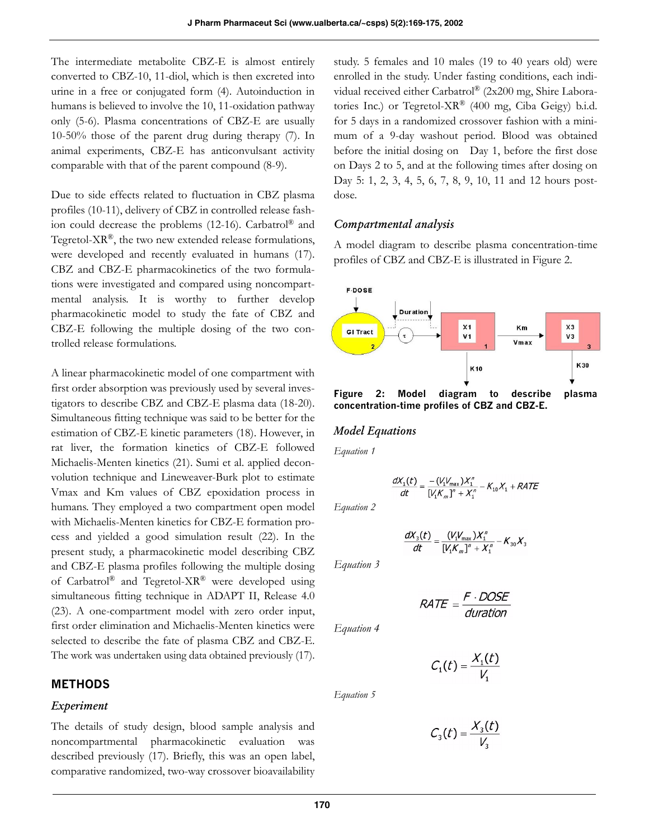The intermediate metabolite CBZ-E is almost entirely converted to CBZ-10, 11-diol, which is then excreted into urine in a free or conjugated form (4). Autoinduction in humans is believed to involve the 10, 11-oxidation pathway only (5-6). Plasma concentrations of CBZ-E are usually 10-50% those of the parent drug during therapy (7). In animal experiments, CBZ-E has anticonvulsant activity comparable with that of the parent compound (8-9).

Due to side effects related to fluctuation in CBZ plasma profiles (10-11), delivery of CBZ in controlled release fashion could decrease the problems (12-16). Carbatrol® and Tegretol- $XR^{\circledR}$ , the two new extended release formulations, were developed and recently evaluated in humans (17). CBZ and CBZ-E pharmacokinetics of the two formulations were investigated and compared using noncompartmental analysis. It is worthy to further develop pharmacokinetic model to study the fate of CBZ and CBZ-E following the multiple dosing of the two controlled release formulations.

A linear pharmacokinetic model of one compartment with first order absorption was previously used by several investigators to describe CBZ and CBZ-E plasma data (18-20). Simultaneous fitting technique was said to be better for the estimation of CBZ-E kinetic parameters (18). However, in rat liver, the formation kinetics of CBZ-E followed Michaelis-Menten kinetics (21). Sumi et al. applied deconvolution technique and Lineweaver-Burk plot to estimate Vmax and Km values of CBZ epoxidation process in humans. They employed a two compartment open model with Michaelis-Menten kinetics for CBZ-E formation process and yielded a good simulation result (22). In the present study, a pharmacokinetic model describing CBZ and CBZ-E plasma profiles following the multiple dosing of Carbatrol® and Tegretol-XR® were developed using simultaneous fitting technique in ADAPT II, Release 4.0 (23). A one-compartment model with zero order input, first order elimination and Michaelis-Menten kinetics were selected to describe the fate of plasma CBZ and CBZ-E. The work was undertaken using data obtained previously (17).

### **METHODS**

### *Experiment*

The details of study design, blood sample analysis and noncompartmental pharmacokinetic evaluation was described previously (17). Briefly, this was an open label, comparative randomized, two-way crossover bioavailability

study. 5 females and 10 males (19 to 40 years old) were enrolled in the study. Under fasting conditions, each individual received either Carbatrol® (2x200 mg, Shire Laboratories Inc.) or Tegretol-XR® (400 mg, Ciba Geigy) b.i.d. for 5 days in a randomized crossover fashion with a minimum of a 9-day washout period. Blood was obtained before the initial dosing on Day 1, before the first dose on Days 2 to 5, and at the following times after dosing on Day 5: 1, 2, 3, 4, 5, 6, 7, 8, 9, 10, 11 and 12 hours postdose.

### *Compartmental analysis*

A model diagram to describe plasma concentration-time profiles of CBZ and CBZ-E is illustrated in Figure 2.



**Figure 2: Model diagram to describe plasma concentration-time profiles of CBZ and CBZ-E.**

### *Model Equations*

*Equation 1*

$$
\frac{dX_1(t)}{dt} = \frac{-(V_1V_{\text{max}})X_1^n}{[V_1K_m]^n + X_1^n} - K_{10}X_1 + RATE
$$

*Equation 2*

$$
\frac{dX_3(t)}{dt} = \frac{(V_1V_{\text{max}})X_1''}{[V_1K_m]^n + X_1''} - K_{30}X_3
$$

*Equation 3*

$$
RATE = \frac{F \cdot DOSE}{duration}
$$

*Equation 4*

*Equation 5*

$$
C_1(t) = \frac{X_1(t)}{V_1}
$$

 $C_3(t) = \frac{X_3(t)}{V_2}$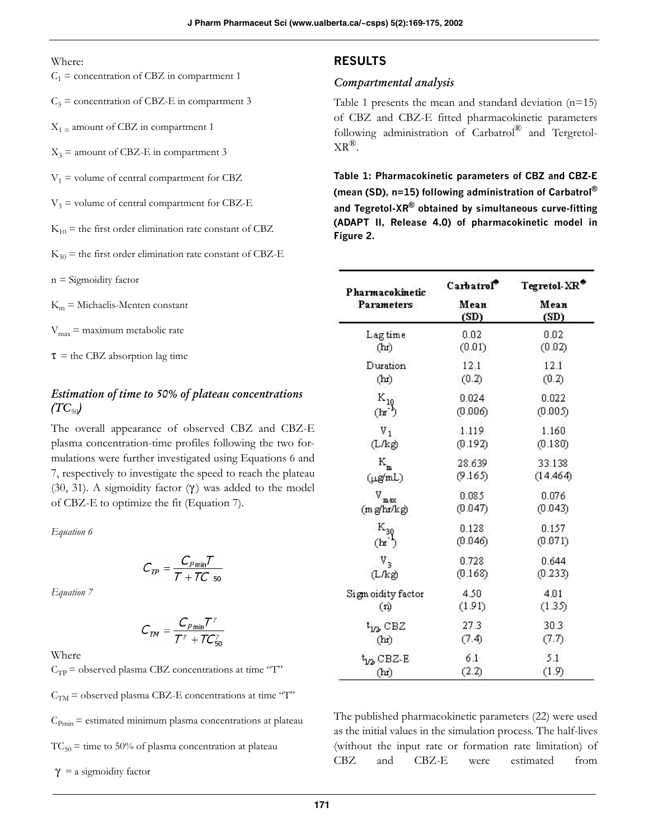#### Where:

- $C_1$  = concentration of CBZ in compartment 1
- $C_3$  = concentration of CBZ-E in compartment 3
- $X_1$  = amount of CBZ in compartment 1
- $X_3$  = amount of CBZ-E in compartment 3
- $V_1$  = volume of central compartment for CBZ
- $V_3$  = volume of central compartment for CBZ-E
- $K_{10}$  = the first order elimination rate constant of CBZ
- $K_{30}$  = the first order elimination rate constant of CBZ-E
- $n =$  Sigmoidity factor
- $K<sub>m</sub>$  = Michaelis-Menten constant
- $V_{\text{max}}$  = maximum metabolic rate

 $\tau$  = the CBZ absorption lag time

# *Estimation of time to 50% of plateau concentrations*   $(TC_{50})$

The overall appearance of observed CBZ and CBZ-E plasma concentration-time profiles following the two formulations were further investigated using Equations 6 and 7, respectively to investigate the speed to reach the plateau (30, 31). A sigmoidity factor  $(\gamma)$  was added to the model of CBZ-E to optimize the fit (Equation 7).

*Equation 6*

$$
C_{TP} = \frac{C_{P\min}T}{T + TC}
$$

*Equation 7*

$$
C_{\mathcal{TM}} = \frac{C_{\rho_{\min}} T^{\gamma}}{T^{\gamma} + T C_{50}^{\gamma}}
$$

Where

 $C_{TP}$  = observed plasma CBZ concentrations at time "T"  $C<sub>TM</sub>$  = observed plasma CBZ-E concentrations at time "T"  $C_{Pmin}$  = estimated minimum plasma concentrations at plateau  $TC_{50}$  = time to 50% of plasma concentration at plateau

 $\gamma$  = a sigmoidity factor

# **RESULTS**

### *Compartmental analysis*

Table 1 presents the mean and standard deviation  $(n=15)$ of CBZ and CBZ-E fitted pharmacokinetic parameters following administration of Carbatrol® and Tergretol- $XR^{\circledR}$ .

**Table 1: Pharmacokinetic parameters of CBZ and CBZ-E (mean (SD), n=15) following administration of Carbatrol® and Tegretol-XR® obtained by simultaneous curve-fitting (ADAPT II, Release 4.0) of pharmacokinetic model in Figure 2.** 

| Pharmacokinetic             | Carbatrol    | ${\rm Tegretol\text{-}XR}^{\bullet}$ |  |
|-----------------------------|--------------|--------------------------------------|--|
| Parameters                  | Mean<br>(SD) | Mean<br>(SD)                         |  |
| Lagtime                     | 0.02         | 0.02                                 |  |
| (hr)                        | (0.01)       | (0.02)                               |  |
| Duration                    | 12.1         | 12.1                                 |  |
| (hr)                        | (0.2)        | (0.2)                                |  |
| $K_{10}$                    | 0.024        | 0.022                                |  |
| (h <sub>r</sub> )           | (0.006)      | (0.005)                              |  |
| $V_1$                       | 1.119        | 1.160                                |  |
| (L/kg)                      | (0.192)      | (0.180)                              |  |
| $\rm K_{m}$                 | 28.639       | 33.138                               |  |
| $(\mu g/mL)$                | (9.165)      | (14.464)                             |  |
| $\mathbf{v}_{\mathtt{max}}$ | 0.085        | 0.076                                |  |
| (mg/hr/kg)                  | (0.047)      | (0.043)                              |  |
| $K_{30}$                    | 0.128        | 0.157                                |  |
| (h r)                       | (0.046)      | (0.071)                              |  |
| $V_{3}$                     | 0.728        | 0.644                                |  |
| (L/kg)                      | (0.168)      | (0.233)                              |  |
| Sigm oidity factor          | 4.50         | 4.01                                 |  |
| (n)                         | (1.91)       | (1.35)                               |  |
| $t_{1/2}$ CBZ               | 27.3         | 30.3                                 |  |
| (hr)                        | (7.4)        | (7.7)                                |  |
| $t_{\rm 1D}$ CBZ-E          | 6.1          | 5.1                                  |  |
| (hr)                        | (2.2)        | (1.9)                                |  |

The published pharmacokinetic parameters (22) were used as the initial values in the simulation process. The half-lives (without the input rate or formation rate limitation) of CBZ and CBZ-E were estimated from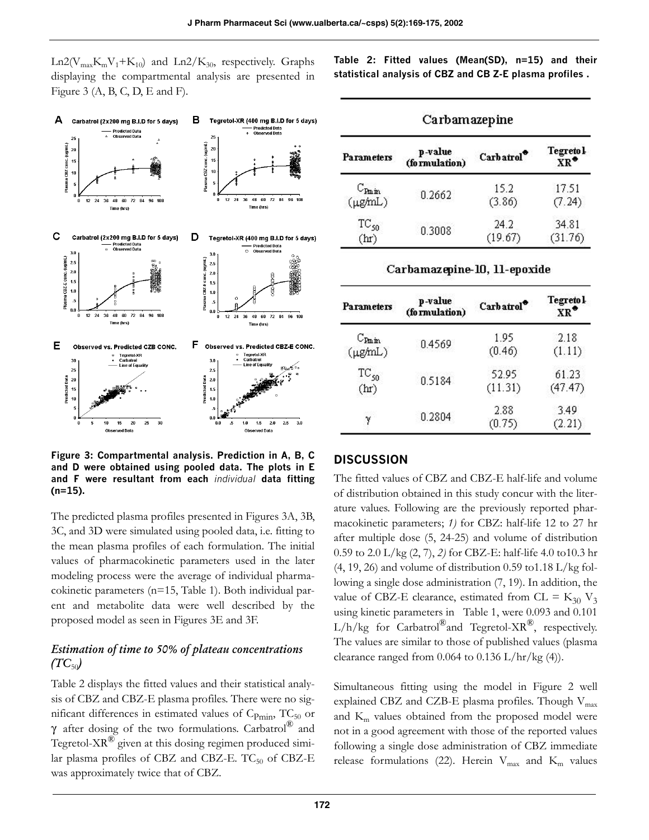$Ln2(V_{max}K_mV_1+K_{10})$  and  $Ln2/K_{30}$ , respectively. Graphs displaying the compartmental analysis are presented in Figure 3  $(A, B, C, D, E$  and F).



**Figure 3: Compartmental analysis. Prediction in A, B, C and D were obtained using pooled data. The plots in E and F were resultant from each** *individual* **data fitting (n=15).**

The predicted plasma profiles presented in Figures 3A, 3B, 3C, and 3D were simulated using pooled data, i.e. fitting to the mean plasma profiles of each formulation. The initial values of pharmacokinetic parameters used in the later modeling process were the average of individual pharmacokinetic parameters (n=15, Table 1). Both individual parent and metabolite data were well described by the proposed model as seen in Figures 3E and 3F.

# *Estimation of time to 50% of plateau concentrations*   $(TC_{50})$

Table 2 displays the fitted values and their statistical analysis of CBZ and CBZ-E plasma profiles. There were no significant differences in estimated values of  $C_{Pmin}$ ,  $TC_{50}$  or  $\gamma$  after dosing of the two formulations. Carbatrol® and Tegretol- $XR^{\circledR}$  given at this dosing regimen produced similar plasma profiles of CBZ and CBZ-E.  $TC_{50}$  of CBZ-E was approximately twice that of CBZ.

**Table 2: Fitted values (Mean(SD), n=15) and their statistical analysis of CBZ and CB Z-E plasma profiles .**

| Carbamazepine                              |                          |                 |                                         |  |  |  |
|--------------------------------------------|--------------------------|-----------------|-----------------------------------------|--|--|--|
| Parameters                                 | p-value<br>(formulation) | Carbatrol       | <b>Tegretol</b><br>$\bar{X}R^{\bullet}$ |  |  |  |
| $\mathrm{C_{Pmin}}$<br>$(\mu g/\text{mL})$ | 0.2662                   | 15.2<br>(3.86)  | 17.51<br>(7.24)                         |  |  |  |
| $TC_{50}$<br>(hr)                          | 0.3008                   | 24.2<br>(19.67) | 34.81<br>(31.76)                        |  |  |  |

### Carbamazepine-10, 11-epoxide

| <b>Parameters</b>   | p-value<br>(formulation) | Carbatrol <sup>*</sup> | <b>Tegretol</b><br>$\mathbf{X} \mathbf{R}^{\bullet}$ |  |
|---------------------|--------------------------|------------------------|------------------------------------------------------|--|
| $C_{\text{Pmin}}$   | 0.4569                   | 1.95                   | 2.18                                                 |  |
| $(\mu g/\text{mL})$ |                          | (0.46)                 | (1.11)                                               |  |
| $TC_{50}$           | 0.5184                   | 52.95                  | 61.23                                                |  |
| (hr)                |                          | (11.31)                | (47.47)                                              |  |
| 0.2804              |                          | 2.88                   | 3.49                                                 |  |
| У                   |                          | (0.75)                 | (2.21)                                               |  |

### **DISCUSSION**

The fitted values of CBZ and CBZ-E half-life and volume of distribution obtained in this study concur with the literature values. Following are the previously reported pharmacokinetic parameters; *1)* for CBZ: half-life 12 to 27 hr after multiple dose (5, 24-25) and volume of distribution 0.59 to 2.0 L/kg (2, 7), *2)* for CBZ-E: half-life 4.0 to10.3 hr  $(4, 19, 26)$  and volume of distribution 0.59 to 1.18 L/kg following a single dose administration (7, 19). In addition, the value of CBZ-E clearance, estimated from CL =  $K_{30}$  V<sub>3</sub> using kinetic parameters in Table 1, were 0.093 and 0.101  $L/h/kg$  for Carbatrol®and Tegretol-XR<sup>®</sup>, respectively. The values are similar to those of published values (plasma clearance ranged from  $0.064$  to  $0.136$  L/hr/kg (4)).

Simultaneous fitting using the model in Figure 2 well explained CBZ and CZB-E plasma profiles. Though  $V_{max}$ and  $K<sub>m</sub>$  values obtained from the proposed model were not in a good agreement with those of the reported values following a single dose administration of CBZ immediate release formulations (22). Herein  $V_{max}$  and  $K_m$  values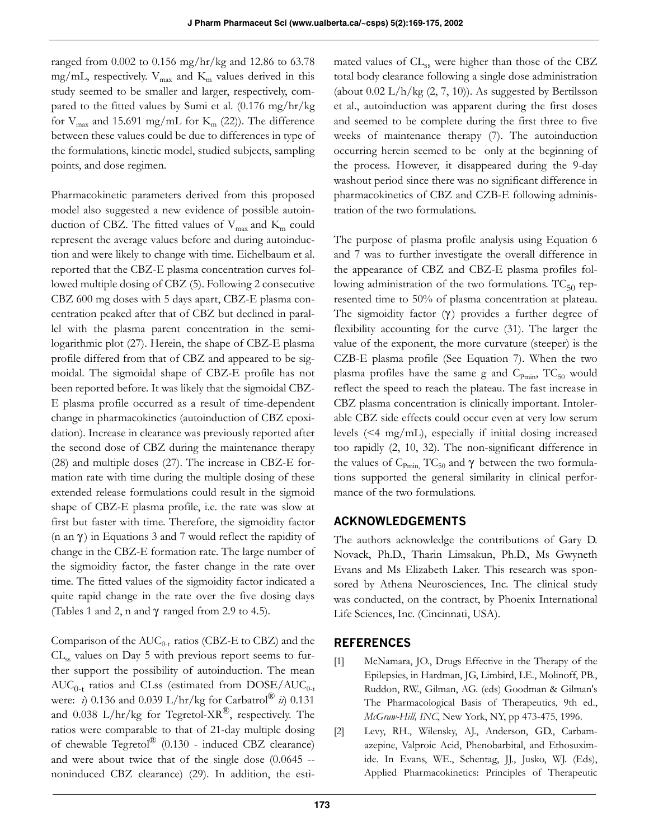ranged from 0.002 to 0.156 mg/hr/kg and 12.86 to 63.78 mg/mL, respectively.  $V_{\text{max}}$  and  $K_{\text{m}}$  values derived in this study seemed to be smaller and larger, respectively, compared to the fitted values by Sumi et al. (0.176 mg/hr/kg for  $V_{\text{max}}$  and 15.691 mg/mL for  $K_{\text{m}}$  (22)). The difference between these values could be due to differences in type of the formulations, kinetic model, studied subjects, sampling points, and dose regimen.

Pharmacokinetic parameters derived from this proposed model also suggested a new evidence of possible autoinduction of CBZ. The fitted values of  $V_{\text{max}}$  and  $K_{\text{m}}$  could represent the average values before and during autoinduction and were likely to change with time. Eichelbaum et al. reported that the CBZ-E plasma concentration curves followed multiple dosing of CBZ (5). Following 2 consecutive CBZ 600 mg doses with 5 days apart, CBZ-E plasma concentration peaked after that of CBZ but declined in parallel with the plasma parent concentration in the semilogarithmic plot (27). Herein, the shape of CBZ-E plasma profile differed from that of CBZ and appeared to be sigmoidal. The sigmoidal shape of CBZ-E profile has not been reported before. It was likely that the sigmoidal CBZ-E plasma profile occurred as a result of time-dependent change in pharmacokinetics (autoinduction of CBZ epoxidation). Increase in clearance was previously reported after the second dose of CBZ during the maintenance therapy (28) and multiple doses (27). The increase in CBZ-E formation rate with time during the multiple dosing of these extended release formulations could result in the sigmoid shape of CBZ-E plasma profile, i.e. the rate was slow at first but faster with time. Therefore, the sigmoidity factor (n an  $\gamma$ ) in Equations 3 and 7 would reflect the rapidity of change in the CBZ-E formation rate. The large number of the sigmoidity factor, the faster change in the rate over time. The fitted values of the sigmoidity factor indicated a quite rapid change in the rate over the five dosing days (Tables 1 and 2, n and  $\gamma$  ranged from 2.9 to 4.5).

Comparison of the  $AUC_{0-t}$  ratios (CBZ-E to CBZ) and the  $CL<sub>ss</sub>$  values on Day 5 with previous report seems to further support the possibility of autoinduction. The mean  $AUC_{0-t}$  ratios and CLss (estimated from  $DOSE/AUC_{0-t}$ were: *i*) 0.136 and 0.039 L/hr/kg for Carbatrol® *ii*) 0.131 and 0.038 L/hr/kg for Tegretol-XR<sup>®</sup>, respectively. The ratios were comparable to that of 21-day multiple dosing of chewable Tegretol<sup>®</sup> (0.130 - induced CBZ clearance) and were about twice that of the single dose (0.0645 - noninduced CBZ clearance) (29). In addition, the estimated values of CL<sub>ss</sub> were higher than those of the CBZ total body clearance following a single dose administration (about  $0.02 \text{ L/h/kg}$  (2, 7, 10)). As suggested by Bertilsson et al., autoinduction was apparent during the first doses and seemed to be complete during the first three to five weeks of maintenance therapy (7). The autoinduction occurring herein seemed to be only at the beginning of the process. However, it disappeared during the 9-day washout period since there was no significant difference in pharmacokinetics of CBZ and CZB-E following administration of the two formulations.

The purpose of plasma profile analysis using Equation 6 and 7 was to further investigate the overall difference in the appearance of CBZ and CBZ-E plasma profiles following administration of the two formulations.  $TC_{50}$  represented time to 50% of plasma concentration at plateau. The sigmoidity factor  $(\gamma)$  provides a further degree of flexibility accounting for the curve (31). The larger the value of the exponent, the more curvature (steeper) is the CZB-E plasma profile (See Equation 7). When the two plasma profiles have the same g and  $C_{Pmin}$ ,  $TC_{50}$  would reflect the speed to reach the plateau. The fast increase in CBZ plasma concentration is clinically important. Intolerable CBZ side effects could occur even at very low serum levels (<4 mg/mL), especially if initial dosing increased too rapidly (2, 10, 32). The non-significant difference in the values of  $C_{Pmin}$ , TC<sub>50</sub> and  $\gamma$  between the two formulations supported the general similarity in clinical performance of the two formulations.

# **ACKNOWLEDGEMENTS**

The authors acknowledge the contributions of Gary D. Novack, Ph.D., Tharin Limsakun, Ph.D., Ms Gwyneth Evans and Ms Elizabeth Laker. This research was sponsored by Athena Neurosciences, Inc. The clinical study was conducted, on the contract, by Phoenix International Life Sciences, Inc. (Cincinnati, USA).

# **REFERENCES**

- [1] McNamara, JO., Drugs Effective in the Therapy of the Epilepsies, in Hardman, JG, Limbird, LE., Molinoff, PB., Ruddon, RW., Gilman, AG. (eds) Goodman & Gilman's The Pharmacological Basis of Therapeutics, 9th ed., *McGraw-Hill, INC*, New York, NY, pp 473-475, 1996.
- [2] Levy, RH., Wilensky, AJ., Anderson, GD., Carbamazepine, Valproic Acid, Phenobarbital, and Ethosuximide. In Evans, WE., Schentag, JJ., Jusko, WJ. (Eds), Applied Pharmacokinetics: Principles of Therapeutic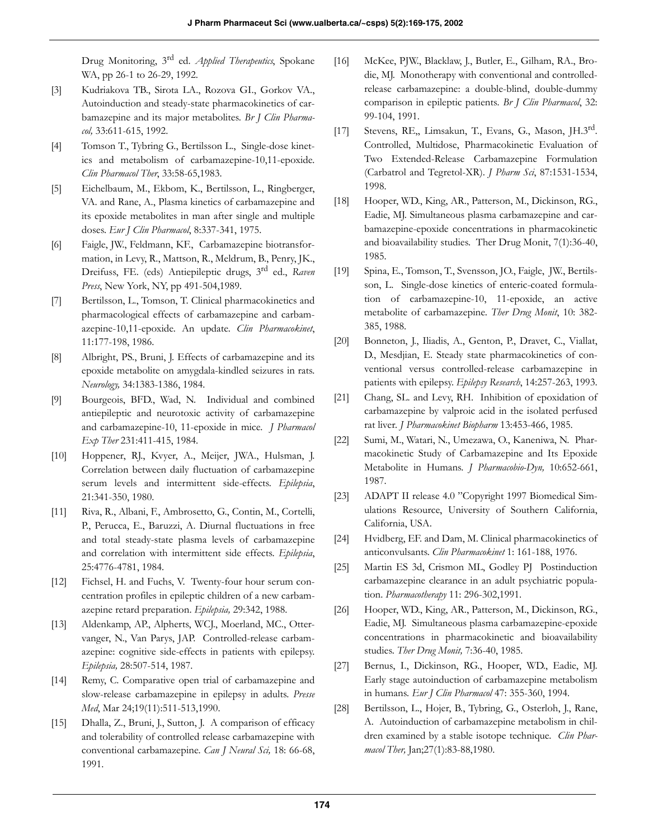Drug Monitoring, 3rd ed. *Applied Therapeutics*, Spokane WA, pp 26-1 to 26-29, 1992.

- [3] Kudriakova TB., Sirota LA., Rozova GI., Gorkov VA., Autoinduction and steady-state pharmacokinetics of carbamazepine and its major metabolites. *Br J Clin Pharmacol,* 33:611-615, 1992.
- [4] Tomson T., Tybring G., Bertilsson L., Single-dose kinetics and metabolism of carbamazepine-10,11-epoxide. *Clin Pharmacol Ther*, 33:58-65,1983.
- [5] Eichelbaum, M., Ekbom, K., Bertilsson, L., Ringberger, VA. and Rane, A., Plasma kinetics of carbamazepine and its epoxide metabolites in man after single and multiple doses. *Eur J Clin Pharmacol*, 8:337-341, 1975.
- [6] Faigle, JW., Feldmann, KF., Carbamazepine biotransformation, in Levy, R., Mattson, R., Meldrum, B., Penry, JK., Dreifuss, FE. (eds) Antiepileptic drugs, 3rd ed., *Raven Press*, New York, NY, pp 491-504,1989.
- [7] Bertilsson, L., Tomson, T. Clinical pharmacokinetics and pharmacological effects of carbamazepine and carbamazepine-10,11-epoxide. An update. *Clin Pharmacokinet*, 11:177-198, 1986.
- [8] Albright, PS., Bruni, J. Effects of carbamazepine and its epoxide metabolite on amygdala-kindled seizures in rats. *Neurology,* 34:1383-1386, 1984.
- [9] Bourgeois, BFD., Wad, N. Individual and combined antiepileptic and neurotoxic activity of carbamazepine and carbamazepine-10, 11-epoxide in mice. *J Pharmacol Exp Ther* 231:411-415, 1984.
- [10] Hoppener, RJ., Kvyer, A., Meijer, JWA., Hulsman, J. Correlation between daily fluctuation of carbamazepine serum levels and intermittent side-effects. *Epilepsia*, 21:341-350, 1980.
- [11] Riva, R., Albani, F., Ambrosetto, G., Contin, M., Cortelli, P., Perucca, E., Baruzzi, A. Diurnal fluctuations in free and total steady-state plasma levels of carbamazepine and correlation with intermittent side effects. *Epilepsia*, 25:4776-4781, 1984.
- [12] Fichsel, H. and Fuchs, V. Twenty-four hour serum concentration profiles in epileptic children of a new carbamazepine retard preparation. *Epilepsia,* 29:342, 1988.
- [13] Aldenkamp, AP., Alpherts, WCJ., Moerland, MC., Ottervanger, N., Van Parys, JAP. Controlled-release carbamazepine: cognitive side-effects in patients with epilepsy. *Epilepsia,* 28:507-514, 1987.
- [14] Remy, C. Comparative open trial of carbamazepine and slow-release carbamazepine in epilepsy in adults. *Presse Med*, Mar 24;19(11):511-513,1990.
- [15] Dhalla, Z., Bruni, J., Sutton, J. A comparison of efficacy and tolerability of controlled release carbamazepine with conventional carbamazepine. *Can J Neural Sci,* 18: 66-68, 1991.
- [16] McKee, PJW., Blacklaw, J., Butler, E., Gilham, RA., Brodie, MJ. Monotherapy with conventional and controlledrelease carbamazepine: a double-blind, double-dummy comparison in epileptic patients*. Br J Clin Pharmacol*, 32: 99-104, 1991.
- [17] Stevens, RE,, Limsakun, T., Evans, G., Mason, JH.3rd. Controlled, Multidose, Pharmacokinetic Evaluation of Two Extended-Release Carbamazepine Formulation (Carbatrol and Tegretol-XR). *J Pharm Sci*, 87:1531-1534, 1998.
- [18] Hooper, WD., King, AR., Patterson, M., Dickinson, RG., Eadie, MJ. Simultaneous plasma carbamazepine and carbamazepine-epoxide concentrations in pharmacokinetic and bioavailability studies. Ther Drug Monit, 7(1):36-40, 1985.
- [19] Spina, E., Tomson, T., Svensson, JO., Faigle, JW., Bertilsson, L. Single-dose kinetics of enteric-coated formulation of carbamazepine-10, 11-epoxide, an active metabolite of carbamazepine. *Ther Drug Monit*, 10: 382- 385, 1988.
- [20] Bonneton, J., Iliadis, A., Genton, P., Dravet, C., Viallat, D., Mesdjian, E. Steady state pharmacokinetics of conventional versus controlled-release carbamazepine in patients with epilepsy. *Epilepsy Research*, 14:257-263, 1993.
- [21] Chang, SL. and Levy, RH. Inhibition of epoxidation of carbamazepine by valproic acid in the isolated perfused rat liver*. J Pharmacokinet Biopharm* 13:453-466, 1985.
- [22] Sumi, M., Watari, N., Umezawa, O., Kaneniwa, N. Pharmacokinetic Study of Carbamazepine and Its Epoxide Metabolite in Humans. *J Pharmacobio-Dyn,* 10:652-661, 1987.
- [23] ADAPT II release 4.0 "Copyright 1997 Biomedical Simulations Resource, University of Southern California, California, USA.
- [24] Hvidberg, EF. and Dam, M. Clinical pharmacokinetics of anticonvulsants. *Clin Pharmacokinet* 1: 161-188, 1976.
- [25] Martin ES 3d, Crismon ML, Godley PJ Postinduction carbamazepine clearance in an adult psychiatric population. *Pharmacotherapy* 11: 296-302,1991.
- [26] Hooper, WD., King, AR., Patterson, M., Dickinson, RG., Eadie, MJ. Simultaneous plasma carbamazepine-epoxide concentrations in pharmacokinetic and bioavailability studies. *Ther Drug Monit,* 7:36-40, 1985.
- [27] Bernus, I., Dickinson, RG., Hooper, WD., Eadie, MJ. Early stage autoinduction of carbamazepine metabolism in humans*. Eur J Clin Pharmacol* 47: 355-360, 1994.
- [28] Bertilsson, L., Hojer, B., Tybring, G., Osterloh, J., Rane, A. Autoinduction of carbamazepine metabolism in children examined by a stable isotope technique. *Clin Pharmacol Ther,* Jan;27(1):83-88,1980.